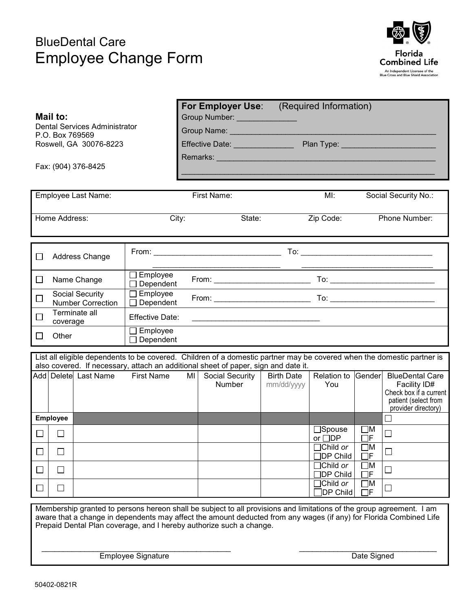## BlueDental Care Employee Change Form



|                                                                                                                                                                                                                                            |                                                     |                                                                      |                   |                                                                                                                | For Employer Use:<br>(Required Information) |                   |                                                         |                         |                                        |  |
|--------------------------------------------------------------------------------------------------------------------------------------------------------------------------------------------------------------------------------------------|-----------------------------------------------------|----------------------------------------------------------------------|-------------------|----------------------------------------------------------------------------------------------------------------|---------------------------------------------|-------------------|---------------------------------------------------------|-------------------------|----------------------------------------|--|
|                                                                                                                                                                                                                                            | Mail to:                                            |                                                                      |                   |                                                                                                                |                                             |                   |                                                         |                         |                                        |  |
| <b>Dental Services Administrator</b><br>P.O. Box 769569                                                                                                                                                                                    |                                                     |                                                                      |                   | Group Name: Call Change of Changes and Changes                                                                 |                                             |                   |                                                         |                         |                                        |  |
| Roswell, GA 30076-8223                                                                                                                                                                                                                     |                                                     |                                                                      |                   |                                                                                                                |                                             |                   | Effective Date: National Plan Type: National Plan Type: |                         |                                        |  |
|                                                                                                                                                                                                                                            |                                                     |                                                                      |                   | Remarks: North American Communication of the Communication of the Communication of the Communication of the Co |                                             |                   |                                                         |                         |                                        |  |
| Fax: (904) 376-8425                                                                                                                                                                                                                        |                                                     |                                                                      |                   |                                                                                                                |                                             |                   |                                                         |                         |                                        |  |
|                                                                                                                                                                                                                                            |                                                     |                                                                      |                   |                                                                                                                |                                             |                   |                                                         |                         |                                        |  |
| Employee Last Name:                                                                                                                                                                                                                        |                                                     |                                                                      |                   |                                                                                                                | First Name:                                 |                   | MI:<br>Social Security No.:                             |                         |                                        |  |
|                                                                                                                                                                                                                                            |                                                     |                                                                      |                   |                                                                                                                |                                             |                   |                                                         |                         |                                        |  |
|                                                                                                                                                                                                                                            | Home Address:                                       |                                                                      |                   | City:<br>State:                                                                                                |                                             |                   | Zip Code:<br>Phone Number:                              |                         |                                        |  |
|                                                                                                                                                                                                                                            |                                                     |                                                                      |                   |                                                                                                                |                                             |                   |                                                         |                         |                                        |  |
|                                                                                                                                                                                                                                            |                                                     |                                                                      |                   |                                                                                                                |                                             |                   |                                                         |                         |                                        |  |
| $\perp$                                                                                                                                                                                                                                    | Address Change                                      |                                                                      |                   |                                                                                                                |                                             |                   |                                                         |                         |                                        |  |
|                                                                                                                                                                                                                                            |                                                     |                                                                      |                   |                                                                                                                |                                             |                   |                                                         |                         |                                        |  |
| $\Box$                                                                                                                                                                                                                                     | $\Box$ Employee<br>Name Change<br>Dependent         |                                                                      |                   |                                                                                                                |                                             |                   |                                                         |                         |                                        |  |
| ⊔                                                                                                                                                                                                                                          |                                                     | Employee<br>Social Security<br>Dependent<br><b>Number Correction</b> |                   |                                                                                                                |                                             |                   |                                                         |                         |                                        |  |
| ⊔                                                                                                                                                                                                                                          | Terminate all<br><b>Effective Date:</b><br>coverage |                                                                      |                   | <u> 1980 - Johann John Stone, mars an deus Amerikaansk kommunister (</u>                                       |                                             |                   |                                                         |                         |                                        |  |
| Employee<br>Other<br>$\perp$                                                                                                                                                                                                               |                                                     |                                                                      |                   |                                                                                                                |                                             |                   |                                                         |                         |                                        |  |
| $\Box$ Dependent                                                                                                                                                                                                                           |                                                     |                                                                      |                   |                                                                                                                |                                             |                   |                                                         |                         |                                        |  |
| List all eligible dependents to be covered. Children of a domestic partner may be covered when the domestic partner is<br>also covered. If necessary, attach an additional sheet of paper, sign and date it.                               |                                                     |                                                                      |                   |                                                                                                                |                                             |                   |                                                         |                         |                                        |  |
|                                                                                                                                                                                                                                            |                                                     | Add Delete Last Name                                                 | <b>First Name</b> | MI                                                                                                             | Social Security                             | <b>Birth Date</b> | Relation to                                             | Gender                  | <b>BlueDental Care</b>                 |  |
|                                                                                                                                                                                                                                            |                                                     |                                                                      |                   |                                                                                                                | <b>Number</b>                               | mm/dd/yyyy        | You                                                     |                         | Facility ID#<br>Check box if a current |  |
|                                                                                                                                                                                                                                            |                                                     |                                                                      |                   |                                                                                                                |                                             |                   |                                                         |                         | patient (select from                   |  |
|                                                                                                                                                                                                                                            | <b>Employee</b>                                     |                                                                      |                   |                                                                                                                |                                             |                   |                                                         |                         | provider directory)                    |  |
|                                                                                                                                                                                                                                            |                                                     |                                                                      |                   |                                                                                                                |                                             |                   | $\Box$ Spouse                                           | $\square$ M             |                                        |  |
| $\Box$                                                                                                                                                                                                                                     | $\perp$                                             |                                                                      |                   |                                                                                                                |                                             |                   | or $\Box$ DP                                            | $\Box$<br><br><br>F     | $\Box$                                 |  |
| $\Box$                                                                                                                                                                                                                                     | $\Box$                                              |                                                                      |                   |                                                                                                                |                                             |                   | $\Box$ Child or<br>$\Box$ DP Child                      | $\square$ M<br>$\Box$ F | $\Box$                                 |  |
|                                                                                                                                                                                                                                            | $\Box$                                              |                                                                      |                   |                                                                                                                |                                             |                   | $\Box$ Child or                                         | $\square$ M             |                                        |  |
| $\Box$                                                                                                                                                                                                                                     |                                                     |                                                                      |                   |                                                                                                                |                                             |                   | <b>JDP Child</b>                                        | $\Box$ F                | $\Box$                                 |  |
| $\Box$                                                                                                                                                                                                                                     | П                                                   |                                                                      |                   |                                                                                                                |                                             |                   | Child or<br>DP Child                                    | $\square$ M<br>$\Box$ F | $\Box$                                 |  |
|                                                                                                                                                                                                                                            |                                                     |                                                                      |                   |                                                                                                                |                                             |                   |                                                         |                         |                                        |  |
| Membership granted to persons hereon shall be subject to all provisions and limitations of the group agreement. I am<br>aware that a change in dependents may affect the amount deducted from any wages (if any) for Florida Combined Life |                                                     |                                                                      |                   |                                                                                                                |                                             |                   |                                                         |                         |                                        |  |
| Prepaid Dental Plan coverage, and I hereby authorize such a change.                                                                                                                                                                        |                                                     |                                                                      |                   |                                                                                                                |                                             |                   |                                                         |                         |                                        |  |
|                                                                                                                                                                                                                                            |                                                     |                                                                      |                   |                                                                                                                |                                             |                   |                                                         |                         |                                        |  |
| <b>Employee Signature</b><br>Date Signed                                                                                                                                                                                                   |                                                     |                                                                      |                   |                                                                                                                |                                             |                   |                                                         |                         |                                        |  |
|                                                                                                                                                                                                                                            |                                                     |                                                                      |                   |                                                                                                                |                                             |                   |                                                         |                         |                                        |  |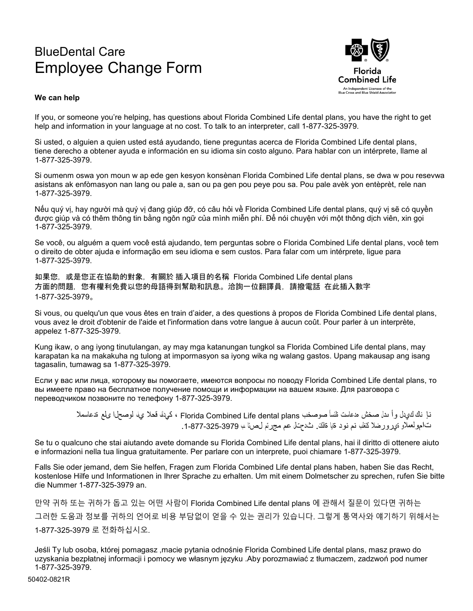## BlueDental Care Employee Change Form



## **We can help**

If you, or someone you're helping, has questions about Florida Combined Life dental plans, you have the right to get help and information in your language at no cost. To talk to an interpreter, call 1-877-325-3979.

Si usted, o alguien a quien usted está ayudando, tiene preguntas acerca de Florida Combined Life dental plans, tiene derecho a obtener ayuda e información en su idioma sin costo alguno. Para hablar con un intérprete, llame al 1-877-325-3979.

Si oumenm oswa yon moun w ap ede gen kesyon konsènan Florida Combined Life dental plans, se dwa w pou resevwa asistans ak enfòmasyon nan lang ou pale a, san ou pa gen pou peye pou sa. Pou pale avèk yon entèprèt, rele nan 1-877-325-3979.

Nếu quý vị, hay người mà quý vị đang giúp đỡ, có câu hỏi về Florida Combined Life dental plans, quý vị sẽ có quyền được giúp và có thêm thông tin bằng ngôn ngữ của mình miễn phí. Để nói chuyện với một thông dịch viên, xin gọi 1-877-325-3979.

Se você, ou alguém a quem você está ajudando, tem perguntas sobre o Florida Combined Life dental plans, você tem o direito de obter ajuda e informação em seu idioma e sem custos. Para falar com um intérprete, ligue para 1-877-325-3979.

如果您,或是您正在協助的對象,有關於 插入項目的名稱 Florida Combined Life dental plans 方面的問題,您有權利免費以您的母語得到幫助和訊息。洽詢一位翻譯員,請撥電話 在此插入數字 1-877-325-3979。

Si vous, ou quelqu'un que vous êtes en train d'aider, a des questions à propos de Florida Combined Life dental plans, vous avez le droit d'obtenir de l'aide et l'information dans votre langue à aucun coût. Pour parler à un interprète, appelez 1-877-325-3979.

Kung ikaw, o ang iyong tinutulangan, ay may mga katanungan tungkol sa Florida Combined Life dental plans, may karapatan ka na makakuha ng tulong at impormasyon sa iyong wika ng walang gastos. Upang makausap ang isang tagasalin, tumawag sa 1-877-325-3979.

Если у вас или лица, которому вы помогаете, имеются вопросы по поводу Florida Combined Life dental plans, то вы имеете право на бесплатное получение помощи и информации на вашем языке. Для разговора с переводчиком позвоните по телефону 1-877-325-3979.

> نـإ ناك كيميدل وأ ىدل صخش هدعاست نلئسأ صوصخب Florida Combined Life dental plans ، كميدل قحلا ي لوصحلا ىلع ةدعاسملا تامولعملاو ةيرورضلا كتلب نم نود ةبا ةلك ت حتال عم مجرتم لصنا ب 3979-325-7877.

Se tu o qualcuno che stai aiutando avete domande su Florida Combined Life dental plans, hai il diritto di ottenere aiuto e informazioni nella tua lingua gratuitamente. Per parlare con un interprete, puoi chiamare 1-877-325-3979.

Falls Sie oder jemand, dem Sie helfen, Fragen zum Florida Combined Life dental plans haben, haben Sie das Recht, kostenlose Hilfe und Informationen in Ihrer Sprache zu erhalten. Um mit einem Dolmetscher zu sprechen, rufen Sie bitte die Nummer 1-877-325-3979 an.

만약 귀하 또는 귀하가 돕고 있는 어떤 사람이 Florida Combined Life dental plans 에 관해서 질문이 있다면 귀하는 그러한 도움과 정보를 귀하의 언어로 비용 부담없이 얻을 수 있는 권리가 있습니다. 그렇게 통역사와 얘기하기 위해서는 1-877-325-3979 로 전화하십시오.

Jeśli Ty lub osoba, której pomagasz ,macie pytania odnośnie Florida Combined Life dental plans, masz prawo do uzyskania bezpłatnej informacji i pomocy we własnym języku .Aby porozmawiać z tłumaczem, zadzwoń pod numer 1-877-325-3979.